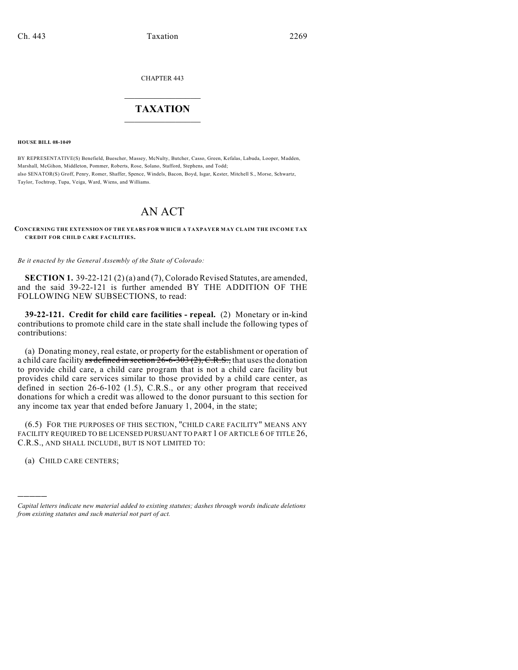CHAPTER 443

## $\overline{\phantom{a}}$  . The set of the set of the set of the set of the set of the set of the set of the set of the set of the set of the set of the set of the set of the set of the set of the set of the set of the set of the set o **TAXATION**  $\_$

**HOUSE BILL 08-1049**

BY REPRESENTATIVE(S) Benefield, Buescher, Massey, McNulty, Butcher, Casso, Green, Kefalas, Labuda, Looper, Madden, Marshall, McGihon, Middleton, Pommer, Roberts, Rose, Solano, Stafford, Stephens, and Todd; also SENATOR(S) Groff, Penry, Romer, Shaffer, Spence, Windels, Bacon, Boyd, Isgar, Kester, Mitchell S., Morse, Schwartz, Taylor, Tochtrop, Tupa, Veiga, Ward, Wiens, and Williams.

## AN ACT

## **CONCERNING THE EXTENSION OF THE YEARS FOR WHICH A TAXPAYER MAY CLAIM THE INCOME TAX CREDIT FOR CHILD CARE FACILITIES.**

*Be it enacted by the General Assembly of the State of Colorado:*

**SECTION 1.** 39-22-121 (2) (a) and (7), Colorado Revised Statutes, are amended, and the said 39-22-121 is further amended BY THE ADDITION OF THE FOLLOWING NEW SUBSECTIONS, to read:

**39-22-121. Credit for child care facilities - repeal.** (2) Monetary or in-kind contributions to promote child care in the state shall include the following types of contributions:

(a) Donating money, real estate, or property for the establishment or operation of a child care facility as defined in section  $26-6-303(2)$ , C.R.S., that uses the donation to provide child care, a child care program that is not a child care facility but provides child care services similar to those provided by a child care center, as defined in section 26-6-102 (1.5), C.R.S., or any other program that received donations for which a credit was allowed to the donor pursuant to this section for any income tax year that ended before January 1, 2004, in the state;

(6.5) FOR THE PURPOSES OF THIS SECTION, "CHILD CARE FACILITY" MEANS ANY FACILITY REQUIRED TO BE LICENSED PURSUANT TO PART 1 OF ARTICLE 6 OF TITLE 26, C.R.S., AND SHALL INCLUDE, BUT IS NOT LIMITED TO:

(a) CHILD CARE CENTERS;

)))))

*Capital letters indicate new material added to existing statutes; dashes through words indicate deletions from existing statutes and such material not part of act.*